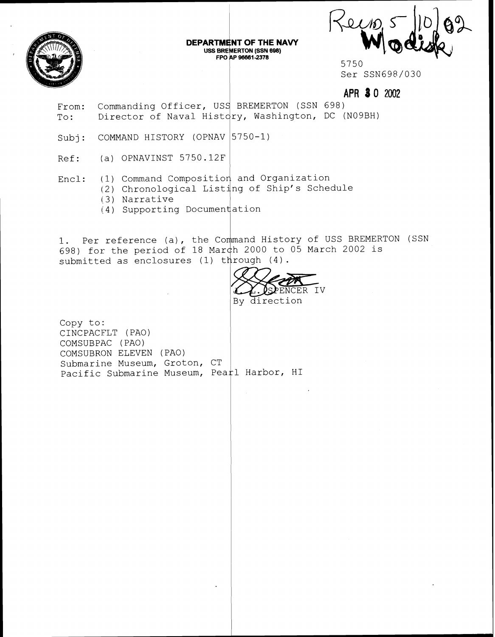

DEPARTMENT OF THE NAVY USS BREMERTON (SSN 698) **FPC 1 96661-2378** 

Kein

5750 Ser SSN698/030

**APR** *8* **0** 2002

From: To: Commanding Officer, USS BREMERTON (SSN 698) Director of Naval Hist $\langle$ ry, Washington, DC (N09BH)

Subj: COMMAND HISTORY (OPNAV $\big|5$ 

- Ref: (a) OPNAVINST 5750.12F
- Encl: 1) Command Composition and Organization
	- 2) Chronological Listing of Ship's Schedule
	- 13) Narrative
	- (4) Supporting Document ation

1. Per reference (a), the Command History of USS BREMERTON (SSN 698) for the period of 18 Mar 12000 to 05 March 2002 is submitted as enclosures (1) through (4).

SPENCER IV By direction

Copy to: CINCPACFLT (PAO) COMSUBPAC (PAO) COMSUBRON ELEVEN (PAO) Submarine Museum, Groton, CT Pacific Submarine Museum, Pea $\natural$  Harbor, HI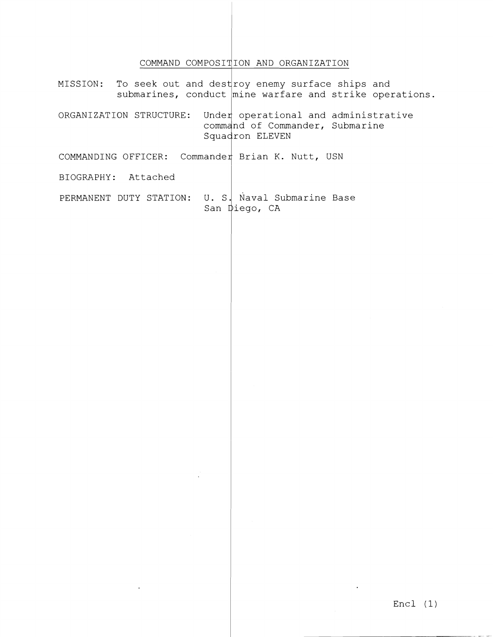## COMMAND COMPOSITION AND ORGANIZATION

To seek out and dest roy enemy surface ships and MISSION: submarines, conduct  $\overline{\text{mine}}$  warfare and strike operations. Under operational and administrative ORGANIZATION STRUCTURE: command of Commander, Submarine Squadron ELEVEN COMMANDING OFFICER: Commander Brian K. Nutt, USN BIOGRAPHY: Attached PERMANENT DUTY STATION: U. S. Naval Submarine Base San Diego, CA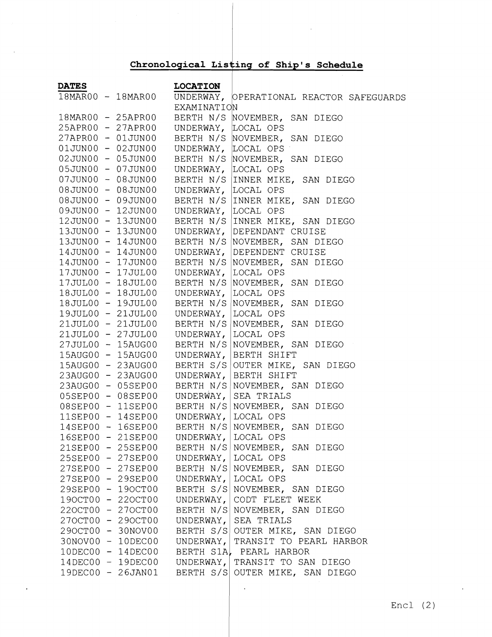## Chronological Listing of Ship's Schedule

 $\bar{z}$ 

| <b>DATES</b> |                                       | <b>LOCATION</b>                       |                                                 |
|--------------|---------------------------------------|---------------------------------------|-------------------------------------------------|
|              | $\overline{18\text{M}AR00}$ - 18MAR00 |                                       | UNDERWAY, OPERATIONAL REACTOR SAFEGUARDS        |
|              |                                       | EXAMINATION                           |                                                 |
|              |                                       |                                       | 18MAR00 - 25APR00 BERTH N/S NOVEMBER, SAN DIEGO |
|              | 25APR00 - 27APR00                     | UNDERWAY, LOCAL OPS                   |                                                 |
|              | 27APR00 - 01JUN00                     |                                       | BERTH N/S NOVEMBER, SAN DIEGO                   |
|              | $01JUN00 - 02JUN00$                   |                                       | UNDERWAY, LOCAL OPS                             |
|              | 02JUN00 - 05JUN00                     |                                       | BERTH N/S NOVEMBER, SAN DIEGO                   |
|              | 05JUN00 - 07JUN00                     |                                       | UNDERWAY, LOCAL OPS                             |
|              | 07JUN00 - 08JUN00                     |                                       | BERTH N/S INNER MIKE, SAN DIEGO                 |
|              | 08JUN00 - 08JUN00                     |                                       | UNDERWAY, LOCAL OPS                             |
|              | 08JUN00 - 09JUN00                     |                                       | BERTH N/S INNER MIKE, SAN DIEGO                 |
|              | 09JUN00 - 12JUN00                     |                                       | UNDERWAY, LOCAL OPS                             |
|              |                                       |                                       |                                                 |
|              |                                       |                                       |                                                 |
|              |                                       |                                       |                                                 |
|              |                                       |                                       |                                                 |
|              |                                       |                                       |                                                 |
|              |                                       |                                       |                                                 |
|              |                                       |                                       |                                                 |
|              |                                       |                                       |                                                 |
|              |                                       |                                       |                                                 |
|              |                                       |                                       |                                                 |
|              |                                       |                                       |                                                 |
|              |                                       |                                       |                                                 |
|              |                                       |                                       |                                                 |
|              |                                       |                                       |                                                 |
|              |                                       |                                       |                                                 |
|              | $23AUG00 - 23AUG0023AUG00 - 05SEP00$  |                                       | UNDERWAY, BERTH SHIFT                           |
|              |                                       |                                       | BERTH N/S NOVEMBER, SAN DIEGO                   |
|              | 05SEP00 - 08SEP00                     |                                       | UNDERWAY, SEA TRIALS                            |
|              |                                       |                                       | 08SEP00 - 11SEP00 BERTH N/S NOVEMBER, SAN DIEGO |
|              |                                       | 11SEP00 - 14SEP00 UNDERWAY,           | LOCAL OPS                                       |
|              |                                       |                                       | 14SEP00 - 16SEP00 BERTH N/S NOVEMBER, SAN DIEGO |
|              |                                       | 16SEP00 - 21SEP00 UNDERWAY, LOCAL OPS |                                                 |
|              | 21SEP00 - 25SEP00                     |                                       | BERTH N/S NOVEMBER, SAN DIEGO                   |
|              | 25SEP00 - 27SEP00                     | UNDERWAY,                             | LOCAL OPS                                       |
|              | 27SEP00 - 27SEP00                     |                                       | BERTH N/S NOVEMBER, SAN DIEGO                   |
|              | 27SEP00 - 29SEP00                     | UNDERWAY,                             | LOCAL OPS                                       |
|              | 29SEP00 - 19OCT00                     |                                       | BERTH S/S NOVEMBER, SAN DIEGO                   |
|              | 190CT00 - 220CT00                     | UNDERWAY,                             | CODT FLEET WEEK                                 |
|              | 220CT00 - 270CT00                     |                                       | BERTH N/S NOVEMBER, SAN DIEGO                   |
|              | 270CT00 - 290CT00                     | UNDERWAY,                             | SEA TRIALS                                      |
|              | 290CT00 - 30NOV00                     |                                       | BERTH S/S OUTER MIKE, SAN DIEGO                 |
|              | 30NOV00 - 10DEC00                     | UNDERWAY,                             | TRANSIT TO PEARL HARBOR                         |
|              | 10DEC00 - 14DEC00                     |                                       | BERTH S1A, PEARL HARBOR                         |
|              | 14DEC00 - 19DEC00                     | UNDERWAY,                             | TRANSIT TO SAN DIEGO                            |
|              | 19DEC00 - 26JAN01                     |                                       | BERTH S/S OUTER MIKE, SAN DIEGO                 |
|              |                                       |                                       |                                                 |

 $\ddot{\phantom{0}}$ 

 $\ddot{\phantom{a}}$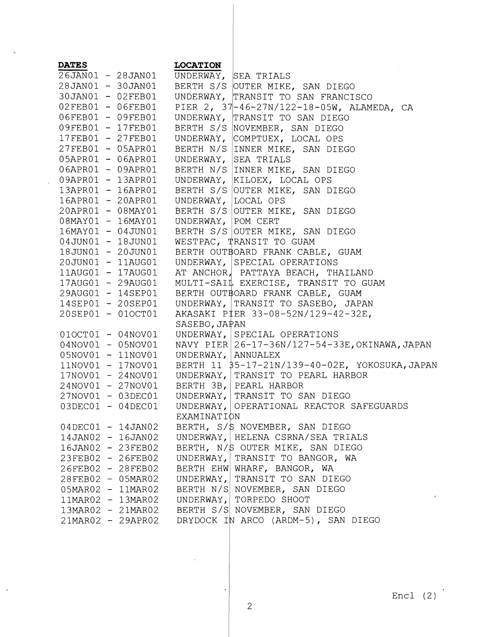| <b>DATES</b>      |                   | <b>LOCATION</b>    |                                                     |
|-------------------|-------------------|--------------------|-----------------------------------------------------|
|                   |                   |                    | 26JAN01 - 28JAN01 UNDERWAY, SEA TRIALS              |
|                   |                   |                    | 28JAN01 - 30JAN01 BERTH S/S OUTER MIKE, SAN DIEGO   |
| 30JAN01 - 02FEB01 |                   |                    | UNDERWAY, TRANSIT TO SAN FRANCISCO                  |
| 02FEB01 - 06FEB01 |                   |                    | PIER 2, 37-46-27N/122-18-05W, ALAMEDA, CA           |
| 06FEB01 - 09FEB01 |                   |                    | UNDERWAY, TRANSIT TO SAN DIEGO                      |
| 09FEB01 - 17FEB01 |                   |                    | BERTH S/S NOVEMBER, SAN DIEGO                       |
| 17FEB01 - 27FEB01 |                   |                    | UNDERWAY, COMPTUEX, LOCAL OPS                       |
| 27FEB01 - 05APR01 |                   |                    | BERTH N/S INNER MIKE, SAN DIEGO                     |
| 05APR01 - 06APR01 |                   |                    | UNDERWAY, SEA TRIALS                                |
| 06APR01 - 09APR01 |                   |                    | BERTH N/S INNER MIKE, SAN DIEGO                     |
| 09APR01 - 13APR01 |                   |                    | UNDERWAY, KILOEX, LOCAL OPS                         |
|                   | 13APR01 - 16APR01 |                    | BERTH S/S OUTER MIKE, SAN DIEGO                     |
| 16APR01 - 20APR01 |                   |                    | UNDERWAY, LOCAL OPS                                 |
|                   | 20APR01 - 08MAY01 |                    | BERTH S/S OUTER MIKE, SAN DIEGO                     |
|                   | 08MAY01 - 16MAY01 | UNDERWAY, POM CERT |                                                     |
|                   | 16MAY01 - 04JUN01 |                    | BERTH S/S OUTER MIKE, SAN DIEGO                     |
| 04JUN01 - 18JUN01 |                   |                    | WESTPAC, TRANSIT TO GUAM                            |
| 18JUN01 - 20JUN01 |                   |                    | BERTH OUTBOARD FRANK CABLE, GUAM                    |
| 20JUN01 - 11AUG01 |                   |                    | UNDERWAY, SPECIAL OPERATIONS                        |
|                   | 11AUG01 - 17AUG01 |                    | AT ANCHOR, PATTAYA BEACH, THAILAND                  |
|                   | 17AUG01 - 29AUG01 |                    | MULTI-SAIL EXERCISE, TRANSIT TO GUAM                |
| 29AUG01 - 14SEP01 |                   |                    | BERTH OUTBOARD FRANK CABLE, GUAM                    |
|                   | 14SEP01 - 20SEP01 |                    | UNDERWAY, TRANSIT TO SASEBO, JAPAN                  |
| 20SEP01 - 01OCT01 |                   |                    | AKASAKI PIER 33-08-52N/129-42-32E,                  |
|                   |                   | SASEBO, JAPAN      |                                                     |
|                   | 010CT01 - 04NOV01 |                    | UNDERWAY, SPECIAL OPERATIONS                        |
|                   | 04NOV01 - 05NOV01 |                    | NAVY PIER 26-17-36N/127-54-33E, OKINAWA, JAPAN      |
|                   | 05NOV01 - 11NOV01 | UNDERWAY, ANNUALEX |                                                     |
|                   | 11NOV01 - 17NOV01 |                    |                                                     |
|                   |                   |                    | 17NOV01 - 24NOV01 UNDERWAY, TRANSIT TO PEARL HARBOR |
|                   |                   |                    | 24NOV01 - 27NOV01 BERTH 3B, PEARL HARBOR            |
|                   | 27NOV01 - 03DEC01 |                    | UNDERWAY, TRANSIT TO SAN DIEGO                      |
|                   | 03DEC01 - 04DEC01 |                    | UNDERWAY, OPERATIONAL REACTOR SAFEGUARDS            |
|                   |                   | EXAMINATION        |                                                     |
|                   | 04DEC01 - 14JAN02 |                    | BERTH, S/\$ NOVEMBER, SAN DIEGO                     |
|                   | 14JAN02 - 16JAN02 |                    | UNDERWAY, HELENA CSRNA/SEA TRIALS                   |
|                   | 16JAN02 - 23FEB02 |                    | BERTH, N/S OUTER MIKE, SAN DIEGO                    |
|                   | 23FEB02 - 26FEB02 |                    | UNDERWAY, TRANSIT TO BANGOR, WA                     |
|                   | 26FEB02 - 28FEB02 |                    | BERTH EHW WHARF, BANGOR, WA                         |
|                   | 28FEB02 - 05MAR02 |                    | UNDERWAY, TRANSIT TO SAN DIEGO                      |
|                   | 05MAR02 - 11MAR02 |                    | BERTH N/S NOVEMBER, SAN DIEGO                       |
|                   | 11MAR02 - 13MAR02 |                    | UNDERWAY, TORPEDO SHOOT                             |
|                   | 13MAR02 - 21MAR02 |                    | BERTH S/S NOVEMBER, SAN DIEGO                       |
|                   | 21MAR02 - 29APR02 |                    | DRYDOCK IN ARCO (ARDM-5), SAN DIEGO                 |

l,

 $\bar{\beta}$ 

 $\hat{\theta}$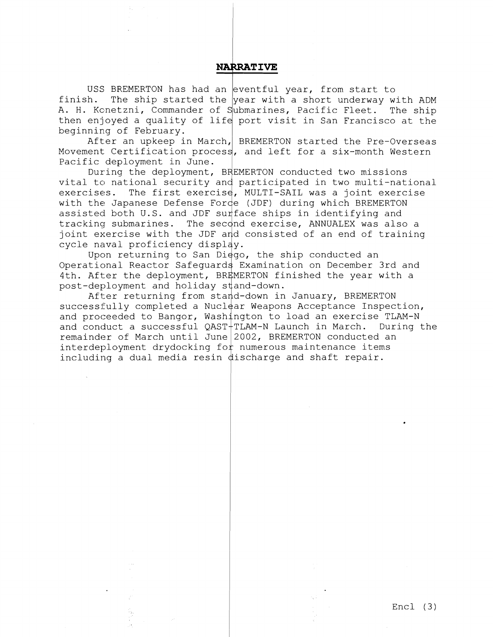## **NARRATIVE**

USS BREMERTON has had an eventful year, from start to finish. The ship started the year with a short underway with ADM A. H. Konetzni, Commander of S<mark>ubmarines, Pacific Fleet. The ship</mark> then enjoyed a quality of life port visit in San Francisco at the beginning of February.

After an upkeep in March, BREMERTON started the Pre-Overseas Movement Certification process, and left for a six-month Western Pacific deployment in June.

During the deployment, BREMERTON conducted two missions vital to national security and participated in two multi-national exercises. The first exercise, MULTI-SAIL was a joint exercise with the Japanese Defense Forde (JDF) during which BREMERTON assisted both U.S. and JDF surface ships in identifying and tracking submarines. The second exercise, ANNUALEX was also a joint exercise with the JDF and consisted of an end of training cycle naval proficiency displ

Upon returning to San Di $\frac{1}{90}$ , the ship conducted an Operational Reactor Safequards Examination on December 3rd and 4th. After the deployment, BREMERTON finished the year with a post-deployment and holiday s

After returning from stand-down in January, BREMERTON successfully completed a Nuclear Weapons Acceptance Inspection, and proceeded to Bangor, Washington to load an exercise TLAM-N and conduct a successful  $QAST + TLAN-N$  Launch in March. During the remainder of March until June  $2002$ , BREMERTON conducted an interdeployment drydocking for numerous maintenance items including a dual media resin  $\phi$  and shaft repair.